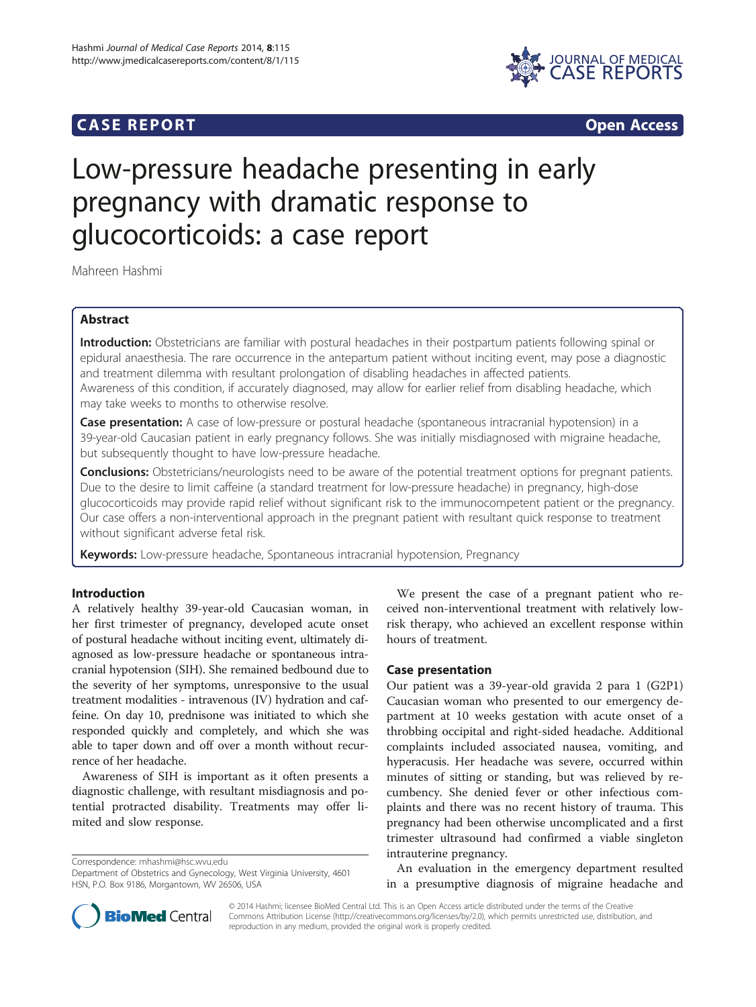# **CASE REPORT CASE REPORT**



# Low-pressure headache presenting in early pregnancy with dramatic response to glucocorticoids: a case report

Mahreen Hashmi

# Abstract

Introduction: Obstetricians are familiar with postural headaches in their postpartum patients following spinal or epidural anaesthesia. The rare occurrence in the antepartum patient without inciting event, may pose a diagnostic and treatment dilemma with resultant prolongation of disabling headaches in affected patients. Awareness of this condition, if accurately diagnosed, may allow for earlier relief from disabling headache, which may take weeks to months to otherwise resolve.

Case presentation: A case of low-pressure or postural headache (spontaneous intracranial hypotension) in a 39-year-old Caucasian patient in early pregnancy follows. She was initially misdiagnosed with migraine headache, but subsequently thought to have low-pressure headache.

**Conclusions:** Obstetricians/neurologists need to be aware of the potential treatment options for pregnant patients. Due to the desire to limit caffeine (a standard treatment for low-pressure headache) in pregnancy, high-dose glucocorticoids may provide rapid relief without significant risk to the immunocompetent patient or the pregnancy. Our case offers a non-interventional approach in the pregnant patient with resultant quick response to treatment without significant adverse fetal risk.

Keywords: Low-pressure headache, Spontaneous intracranial hypotension, Pregnancy

## Introduction

A relatively healthy 39-year-old Caucasian woman, in her first trimester of pregnancy, developed acute onset of postural headache without inciting event, ultimately diagnosed as low-pressure headache or spontaneous intracranial hypotension (SIH). She remained bedbound due to the severity of her symptoms, unresponsive to the usual treatment modalities - intravenous (IV) hydration and caffeine. On day 10, prednisone was initiated to which she responded quickly and completely, and which she was able to taper down and off over a month without recurrence of her headache.

Awareness of SIH is important as it often presents a diagnostic challenge, with resultant misdiagnosis and potential protracted disability. Treatments may offer limited and slow response.

Correspondence: [mhashmi@hsc.wvu.edu](mailto:mhashmi@hsc.wvu.edu)

We present the case of a pregnant patient who received non-interventional treatment with relatively lowrisk therapy, who achieved an excellent response within hours of treatment.

#### Case presentation

Our patient was a 39-year-old gravida 2 para 1 (G2P1) Caucasian woman who presented to our emergency department at 10 weeks gestation with acute onset of a throbbing occipital and right-sided headache. Additional complaints included associated nausea, vomiting, and hyperacusis. Her headache was severe, occurred within minutes of sitting or standing, but was relieved by recumbency. She denied fever or other infectious complaints and there was no recent history of trauma. This pregnancy had been otherwise uncomplicated and a first trimester ultrasound had confirmed a viable singleton intrauterine pregnancy.

An evaluation in the emergency department resulted in a presumptive diagnosis of migraine headache and



© 2014 Hashmi; licensee BioMed Central Ltd. This is an Open Access article distributed under the terms of the Creative Commons Attribution License [\(http://creativecommons.org/licenses/by/2.0\)](http://creativecommons.org/licenses/by/2.0), which permits unrestricted use, distribution, and reproduction in any medium, provided the original work is properly credited.

Department of Obstetrics and Gynecology, West Virginia University, 4601 HSN, P.O. Box 9186, Morgantown, WV 26506, USA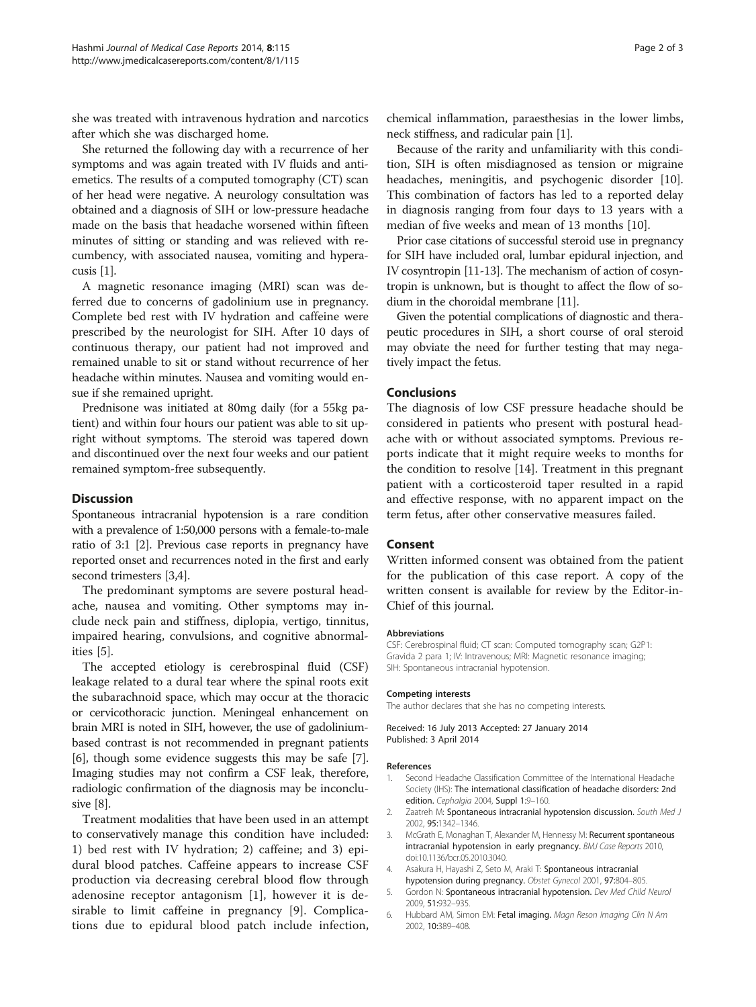she was treated with intravenous hydration and narcotics after which she was discharged home.

She returned the following day with a recurrence of her symptoms and was again treated with IV fluids and antiemetics. The results of a computed tomography (CT) scan of her head were negative. A neurology consultation was obtained and a diagnosis of SIH or low-pressure headache made on the basis that headache worsened within fifteen minutes of sitting or standing and was relieved with recumbency, with associated nausea, vomiting and hyperacusis [1].

A magnetic resonance imaging (MRI) scan was deferred due to concerns of gadolinium use in pregnancy. Complete bed rest with IV hydration and caffeine were prescribed by the neurologist for SIH. After 10 days of continuous therapy, our patient had not improved and remained unable to sit or stand without recurrence of her headache within minutes. Nausea and vomiting would ensue if she remained upright.

Prednisone was initiated at 80mg daily (for a 55kg patient) and within four hours our patient was able to sit upright without symptoms. The steroid was tapered down and discontinued over the next four weeks and our patient remained symptom-free subsequently.

#### **Discussion**

Spontaneous intracranial hypotension is a rare condition with a prevalence of 1:50,000 persons with a female-to-male ratio of 3:1 [2]. Previous case reports in pregnancy have reported onset and recurrences noted in the first and early second trimesters [3,4].

The predominant symptoms are severe postural headache, nausea and vomiting. Other symptoms may include neck pain and stiffness, diplopia, vertigo, tinnitus, impaired hearing, convulsions, and cognitive abnormalities [5].

The accepted etiology is cerebrospinal fluid (CSF) leakage related to a dural tear where the spinal roots exit the subarachnoid space, which may occur at the thoracic or cervicothoracic junction. Meningeal enhancement on brain MRI is noted in SIH, however, the use of gadoliniumbased contrast is not recommended in pregnant patients [6], though some evidence suggests this may be safe [[7](#page-2-0)]. Imaging studies may not confirm a CSF leak, therefore, radiologic confirmation of the diagnosis may be inconclusive [\[8](#page-2-0)].

Treatment modalities that have been used in an attempt to conservatively manage this condition have included: 1) bed rest with IV hydration; 2) caffeine; and 3) epidural blood patches. Caffeine appears to increase CSF production via decreasing cerebral blood flow through adenosine receptor antagonism [1], however it is desirable to limit caffeine in pregnancy [\[9](#page-2-0)]. Complications due to epidural blood patch include infection,

chemical inflammation, paraesthesias in the lower limbs, neck stiffness, and radicular pain [1].

Because of the rarity and unfamiliarity with this condition, SIH is often misdiagnosed as tension or migraine headaches, meningitis, and psychogenic disorder [\[10](#page-2-0)]. This combination of factors has led to a reported delay in diagnosis ranging from four days to 13 years with a median of five weeks and mean of 13 months [\[10](#page-2-0)].

Prior case citations of successful steroid use in pregnancy for SIH have included oral, lumbar epidural injection, and IV cosyntropin [[11](#page-2-0)-[13](#page-2-0)]. The mechanism of action of cosyntropin is unknown, but is thought to affect the flow of sodium in the choroidal membrane [[11](#page-2-0)].

Given the potential complications of diagnostic and therapeutic procedures in SIH, a short course of oral steroid may obviate the need for further testing that may negatively impact the fetus.

#### Conclusions

The diagnosis of low CSF pressure headache should be considered in patients who present with postural headache with or without associated symptoms. Previous reports indicate that it might require weeks to months for the condition to resolve [[14\]](#page-2-0). Treatment in this pregnant patient with a corticosteroid taper resulted in a rapid and effective response, with no apparent impact on the term fetus, after other conservative measures failed.

### Consent

Written informed consent was obtained from the patient for the publication of this case report. A copy of the written consent is available for review by the Editor-in-Chief of this journal.

#### **Abbreviations**

CSF: Cerebrospinal fluid; CT scan: Computed tomography scan; G2P1: Gravida 2 para 1; IV: Intravenous; MRI: Magnetic resonance imaging; SIH: Spontaneous intracranial hypotension.

#### Competing interests

The author declares that she has no competing interests.

Received: 16 July 2013 Accepted: 27 January 2014 Published: 3 April 2014

#### References

- 1. Second Headache Classification Committee of the International Headache Society (IHS): The international classification of headache disorders: 2nd edition. Cephalgia 2004, Suppl 1:9-160.
- 2. Zaatreh M: Spontaneous intracranial hypotension discussion. South Med J 2002, 95:1342–1346.
- McGrath E, Monaghan T, Alexander M, Hennessy M: Recurrent spontaneous intracranial hypotension in early pregnancy. BMJ Case Reports 2010, doi:10.1136/bcr.05.2010.3040.
- 4. Asakura H, Hayashi Z, Seto M, Araki T: Spontaneous intracranial hypotension during pregnancy. Obstet Gynecol 2001, 97:804–805.
- 5. Gordon N: Spontaneous intracranial hypotension. Dev Med Child Neurol 2009, 51:932–935.
- 6. Hubbard AM, Simon EM: Fetal imaging. Magn Reson Imaging Clin N Am 2002, 10:389–408.